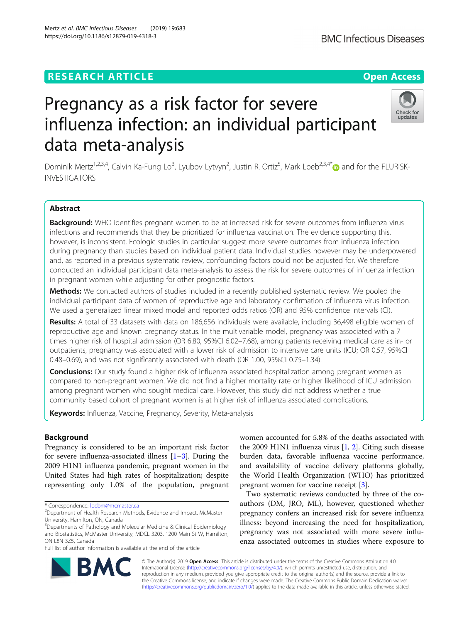## **RESEARCH ARTICLE Example 2018 12:30 THE Open Access**

# Pregnancy as a risk factor for severe influenza infection: an individual participant data meta-analysis

Dominik Mertz<sup>1,2,3,4</sup>, Calvin Ka-Fung Lo<sup>3</sup>, Lyubov Lytvyn<sup>2</sup>, Justin R. Ortiz<sup>5</sup>, Mark Loeb<sup>2,3,4[\\*](http://orcid.org/0000-0003-2315-5390)</sup> and for the FLURISK-INVESTIGATORS

## Abstract

Background: WHO identifies pregnant women to be at increased risk for severe outcomes from influenza virus infections and recommends that they be prioritized for influenza vaccination. The evidence supporting this, however, is inconsistent. Ecologic studies in particular suggest more severe outcomes from influenza infection during pregnancy than studies based on individual patient data. Individual studies however may be underpowered and, as reported in a previous systematic review, confounding factors could not be adjusted for. We therefore conducted an individual participant data meta-analysis to assess the risk for severe outcomes of influenza infection in pregnant women while adjusting for other prognostic factors.

Methods: We contacted authors of studies included in a recently published systematic review. We pooled the individual participant data of women of reproductive age and laboratory confirmation of influenza virus infection. We used a generalized linear mixed model and reported odds ratios (OR) and 95% confidence intervals (CI).

Results: A total of 33 datasets with data on 186,656 individuals were available, including 36,498 eligible women of reproductive age and known pregnancy status. In the multivariable model, pregnancy was associated with a 7 times higher risk of hospital admission (OR 6.80, 95%CI 6.02–7.68), among patients receiving medical care as in- or outpatients, pregnancy was associated with a lower risk of admission to intensive care units (ICU; OR 0.57, 95%CI 0.48–0.69), and was not significantly associated with death (OR 1.00, 95%CI 0.75–1.34).

**Conclusions:** Our study found a higher risk of influenza associated hospitalization among pregnant women as compared to non-pregnant women. We did not find a higher mortality rate or higher likelihood of ICU admission among pregnant women who sought medical care. However, this study did not address whether a true community based cohort of pregnant women is at higher risk of influenza associated complications.

Keywords: Influenza, Vaccine, Pregnancy, Severity, Meta-analysis

## Background

Pregnancy is considered to be an important risk factor for severe influenza-associated illness  $[1-3]$  $[1-3]$  $[1-3]$  $[1-3]$ . During the 2009 H1N1 influenza pandemic, pregnant women in the United States had high rates of hospitalization; despite representing only 1.0% of the population, pregnant

\* Correspondence: [loebm@mcmaster.ca](mailto:loebm@mcmaster.ca) <sup>2</sup>

Full list of author information is available at the end of the article

women accounted for 5.8% of the deaths associated with the 2009 H1N1 influenza virus [\[1,](#page-8-0) [2\]](#page-8-0). Citing such disease burden data, favorable influenza vaccine performance, and availability of vaccine delivery platforms globally, the World Health Organization (WHO) has prioritized pregnant women for vaccine receipt [[3\]](#page-8-0).

Two systematic reviews conducted by three of the coauthors (DM, JRO, ML), however, questioned whether pregnancy confers an increased risk for severe influenza illness: beyond increasing the need for hospitalization, pregnancy was not associated with more severe influenza associated outcomes in studies where exposure to

© The Author(s). 2019 Open Access This article is distributed under the terms of the Creative Commons Attribution 4.0 International License [\(http://creativecommons.org/licenses/by/4.0/](http://creativecommons.org/licenses/by/4.0/)), which permits unrestricted use, distribution, and reproduction in any medium, provided you give appropriate credit to the original author(s) and the source, provide a link to the Creative Commons license, and indicate if changes were made. The Creative Commons Public Domain Dedication waiver [\(http://creativecommons.org/publicdomain/zero/1.0/](http://creativecommons.org/publicdomain/zero/1.0/)) applies to the data made available in this article, unless otherwise stated.





<sup>&</sup>lt;sup>2</sup>Department of Health Research Methods, Evidence and Impact, McMaster University, Hamilton, ON, Canada

<sup>&</sup>lt;sup>3</sup>Departments of Pathology and Molecular Medicine & Clinical Epidemiology and Biostatistics, McMaster University, MDCL 3203, 1200 Main St W, Hamilton, ON L8N 3Z5, Canada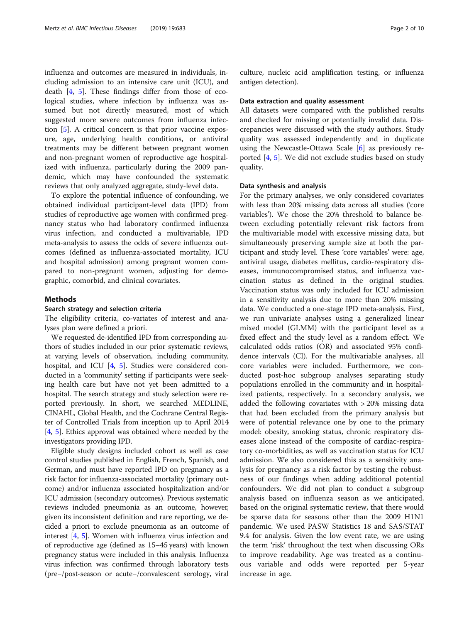influenza and outcomes are measured in individuals, including admission to an intensive care unit (ICU), and death [\[4](#page-8-0), [5](#page-8-0)]. These findings differ from those of ecological studies, where infection by influenza was assumed but not directly measured, most of which suggested more severe outcomes from influenza infection [\[5](#page-8-0)]. A critical concern is that prior vaccine exposure, age, underlying health conditions, or antiviral treatments may be different between pregnant women and non-pregnant women of reproductive age hospitalized with influenza, particularly during the 2009 pandemic, which may have confounded the systematic reviews that only analyzed aggregate, study-level data.

To explore the potential influence of confounding, we obtained individual participant-level data (IPD) from studies of reproductive age women with confirmed pregnancy status who had laboratory confirmed influenza virus infection, and conducted a multivariable, IPD meta-analysis to assess the odds of severe influenza outcomes (defined as influenza-associated mortality, ICU and hospital admission) among pregnant women compared to non-pregnant women, adjusting for demographic, comorbid, and clinical covariates.

#### Methods

#### Search strategy and selection criteria

The eligibility criteria, co-variates of interest and analyses plan were defined a priori.

We requested de-identified IPD from corresponding authors of studies included in our prior systematic reviews, at varying levels of observation, including community, hospital, and ICU [[4,](#page-8-0) [5](#page-8-0)]. Studies were considered conducted in a 'community' setting if participants were seeking health care but have not yet been admitted to a hospital. The search strategy and study selection were reported previously. In short, we searched MEDLINE, CINAHL, Global Health, and the Cochrane Central Register of Controlled Trials from inception up to April 2014 [[4,](#page-8-0) [5\]](#page-8-0). Ethics approval was obtained where needed by the investigators providing IPD.

Eligible study designs included cohort as well as case control studies published in English, French, Spanish, and German, and must have reported IPD on pregnancy as a risk factor for influenza-associated mortality (primary outcome) and/or influenza associated hospitalization and/or ICU admission (secondary outcomes). Previous systematic reviews included pneumonia as an outcome, however, given its inconsistent definition and rare reporting, we decided a priori to exclude pneumonia as an outcome of interest [\[4,](#page-8-0) [5](#page-8-0)]. Women with influenza virus infection and of reproductive age (defined as 15–45 years) with known pregnancy status were included in this analysis. Influenza virus infection was confirmed through laboratory tests (pre−/post-season or acute−/convalescent serology, viral

culture, nucleic acid amplification testing, or influenza antigen detection).

#### Data extraction and quality assessment

All datasets were compared with the published results and checked for missing or potentially invalid data. Discrepancies were discussed with the study authors. Study quality was assessed independently and in duplicate using the Newcastle-Ottawa Scale [[6\]](#page-8-0) as previously reported [[4,](#page-8-0) [5\]](#page-8-0). We did not exclude studies based on study quality.

#### Data synthesis and analysis

For the primary analyses, we only considered covariates with less than 20% missing data across all studies ('core variables'). We chose the 20% threshold to balance between excluding potentially relevant risk factors from the multivariable model with excessive missing data, but simultaneously preserving sample size at both the participant and study level. These 'core variables' were: age, antiviral usage, diabetes mellitus, cardio-respiratory diseases, immunocompromised status, and influenza vaccination status as defined in the original studies. Vaccination status was only included for ICU admission in a sensitivity analysis due to more than 20% missing data. We conducted a one-stage IPD meta-analysis. First, we run univariate analyses using a generalized linear mixed model (GLMM) with the participant level as a fixed effect and the study level as a random effect. We calculated odds ratios (OR) and associated 95% confidence intervals (CI). For the multivariable analyses, all core variables were included. Furthermore, we conducted post-hoc subgroup analyses separating study populations enrolled in the community and in hospitalized patients, respectively. In a secondary analysis, we added the following covariates with > 20% missing data that had been excluded from the primary analysis but were of potential relevance one by one to the primary model: obesity, smoking status, chronic respiratory diseases alone instead of the composite of cardiac-respiratory co-morbidities, as well as vaccination status for ICU admission. We also considered this as a sensitivity analysis for pregnancy as a risk factor by testing the robustness of our findings when adding additional potential confounders. We did not plan to conduct a subgroup analysis based on influenza season as we anticipated, based on the original systematic review, that there would be sparse data for seasons other than the 2009 H1N1 pandemic. We used PASW Statistics 18 and SAS/STAT 9.4 for analysis. Given the low event rate, we are using the term 'risk' throughout the text when discussing ORs to improve readability. Age was treated as a continuous variable and odds were reported per 5-year increase in age.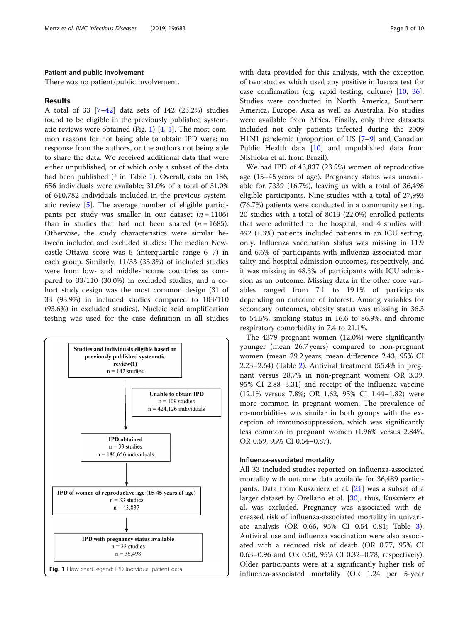#### Patient and public involvement

There was no patient/public involvement.

#### Results

A total of 33 [\[7](#page-8-0)–[42\]](#page-9-0) data sets of 142 (23.2%) studies found to be eligible in the previously published systematic reviews were obtained (Fig. 1) [\[4](#page-8-0), [5](#page-8-0)]. The most common reasons for not being able to obtain IPD were: no response from the authors, or the authors not being able to share the data. We received additional data that were either unpublished, or of which only a subset of the data had been published († in Table [1](#page-3-0)). Overall, data on 186, 656 individuals were available; 31.0% of a total of 31.0% of 610,782 individuals included in the previous systematic review [\[5](#page-8-0)]. The average number of eligible participants per study was smaller in our dataset  $(n = 1106)$ than in studies that had not been shared  $(n = 1685)$ . Otherwise, the study characteristics were similar between included and excluded studies: The median Newcastle-Ottawa score was 6 (interquartile range 6–7) in each group. Similarly, 11/33 (33.3%) of included studies were from low- and middle-income countries as compared to 33/110 (30.0%) in excluded studies, and a cohort study design was the most common design (31 of 33 (93.9%) in included studies compared to 103/110 (93.6%) in excluded studies). Nucleic acid amplification testing was used for the case definition in all studies



with data provided for this analysis, with the exception of two studies which used any positive influenza test for case confirmation (e.g. rapid testing, culture) [[10](#page-8-0), [36](#page-9-0)]. Studies were conducted in North America, Southern America, Europe, Asia as well as Australia. No studies were available from Africa. Finally, only three datasets included not only patients infected during the 2009 H1N1 pandemic (proportion of US [[7](#page-8-0)–[9](#page-8-0)] and Canadian Public Health data [\[10](#page-8-0)] and unpublished data from Nishioka et al. from Brazil).

We had IPD of 43,837 (23.5%) women of reproductive age (15–45 years of age). Pregnancy status was unavailable for 7339 (16.7%), leaving us with a total of 36,498 eligible participants. Nine studies with a total of 27,993 (76.7%) patients were conducted in a community setting, 20 studies with a total of 8013 (22.0%) enrolled patients that were admitted to the hospital, and 4 studies with 492 (1.3%) patients included patients in an ICU setting, only. Influenza vaccination status was missing in 11.9 and 6.6% of participants with influenza-associated mortality and hospital admission outcomes, respectively, and it was missing in 48.3% of participants with ICU admission as an outcome. Missing data in the other core variables ranged from 7.1 to 19.1% of participants depending on outcome of interest. Among variables for secondary outcomes, obesity status was missing in 36.3 to 54.5%, smoking status in 16.6 to 86.9%, and chronic respiratory comorbidity in 7.4 to 21.1%.

The 4379 pregnant women (12.0%) were significantly younger (mean 26.7 years) compared to non-pregnant women (mean 29.2 years; mean difference 2.43, 95% CI 2.23–2.64) (Table [2](#page-4-0)). Antiviral treatment (55.4% in pregnant versus 28.7% in non-pregnant women; OR 3.09, 95% CI 2.88–3.31) and receipt of the influenza vaccine (12.1% versus 7.8%; OR 1.62, 95% CI 1.44–1.82) were more common in pregnant women. The prevalence of co-morbidities was similar in both groups with the exception of immunosuppression, which was significantly less common in pregnant women (1.96% versus 2.84%, OR 0.69, 95% CI 0.54–0.87).

### Influenza-associated mortality

All 33 included studies reported on influenza-associated mortality with outcome data available for 36,489 participants. Data from Kusznierz et al. [[21\]](#page-9-0) was a subset of a larger dataset by Orellano et al. [\[30](#page-9-0)], thus, Kusznierz et al. was excluded. Pregnancy was associated with decreased risk of influenza-associated mortality in univariate analysis (OR 0.66, 95% CI 0.54–0.81; Table [3](#page-4-0)). Antiviral use and influenza vaccination were also associated with a reduced risk of death (OR 0.77, 95% CI 0.63–0.96 and OR 0.50, 95% CI 0.32–0.78, respectively). Older participants were at a significantly higher risk of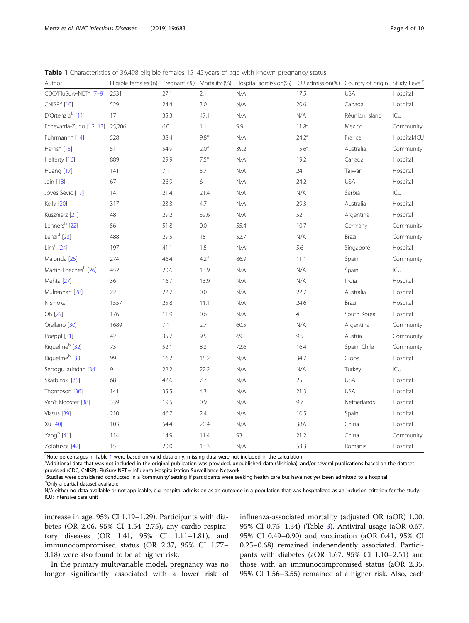<span id="page-3-0"></span>Table 1 Characteristics of 36,498 eligible females 15–45 years of age with known pregnancy status

| Author                             | Eligible females (n) Pregnant (%) |      | Mortality (%)    | Hospital admission(%) | ICU admission(%)  | Country of origin | Study Level <sup>c</sup> |
|------------------------------------|-----------------------------------|------|------------------|-----------------------|-------------------|-------------------|--------------------------|
| CDC/FluSurv-NET <sup>b</sup> [7-9] | 2531                              | 27.1 | 2.1              | N/A                   | 17.5              | <b>USA</b>        | Hospital                 |
| CNISP <sup>b</sup> [10]            | 529                               | 24.4 | 3.0              | N/A                   | 20.6              | Canada            | Hospital                 |
| D'Ortenzio <sup>b</sup> [11]       | 17                                | 35.3 | 47.1             | N/A                   | N/A               | Réunion Island    | ICU                      |
| Echevarria-Zuno [12, 13] 25,206    |                                   | 6.0  | 1.1              | 9.9                   | 11.8 <sup>a</sup> | Mexico            | Community                |
| Fuhrmann <sup>b</sup> [14]         | 528                               | 38.4 | 9.8 <sup>a</sup> | N/A                   | $24.2^a$          | France            | Hospital/ICU             |
| Harris <sup>b</sup> [15]           | 51                                | 54.9 | 2.0 <sup>a</sup> | 39.2                  | 15.6 <sup>a</sup> | Australia         | Community                |
| Helferty [16]                      | 889                               | 29.9 | $7.5^a$          | N/A                   | 19.2              | Canada            | Hospital                 |
| Huang [17]                         | 141                               | 7.1  | 5.7              | N/A                   | 24.1              | Taiwan            | Hospital                 |
| Jain [18]                          | 67                                | 26.9 | 6                | N/A                   | 24.2              | <b>USA</b>        | Hospital                 |
| Joves Sevic [19]                   | 14                                | 21.4 | 21.4             | N/A                   | N/A               | Serbia            | ICU                      |
| Kelly [20]                         | 317                               | 23.3 | 4.7              | N/A                   | 29.3              | Australia         | Hospital                 |
| Kusznierz [21]                     | 48                                | 29.2 | 39.6             | N/A                   | 52.1              | Argentina         | Hospital                 |
| Lehners <sup>b</sup> [22]          | 56                                | 51.8 | 0.0              | 55.4                  | 10.7              | Germany           | Community                |
| Lenzi <sup>d</sup> [23]            | 488                               | 29.5 | 15               | 52.7                  | N/A               | <b>Brazil</b>     | Community                |
| $Limb$ [24]                        | 197                               | 41.1 | 1.5              | N/A                   | 5.6               | Singapore         | Hospital                 |
| Malonda [25]                       | 274                               | 46.4 | 4.2 <sup>a</sup> | 86.9                  | 11.1              | Spain             | Community                |
| Martin-Loechesb [26]               | 452                               | 20.6 | 13.9             | N/A                   | N/A               | Spain             | ICU                      |
| Mehta [27]                         | 36                                | 16.7 | 13.9             | N/A                   | N/A               | India             | Hospital                 |
| Mulrennan [28]                     | 22                                | 22.7 | 0.0              | N/A                   | 22.7              | Australia         | Hospital                 |
| Nishiokab                          | 1557                              | 25.8 | 11.1             | N/A                   | 24.6              | Brazil            | Hospital                 |
| Oh [29]                            | 176                               | 11.9 | 0.6              | N/A                   | 4                 | South Korea       | Hospital                 |
| Orellano [30]                      | 1689                              | 7.1  | 2.7              | 60.5                  | N/A               | Argentina         | Community                |
| Poeppl [31]                        | 42                                | 35.7 | 9.5              | 69                    | 9.5               | Austria           | Community                |
| Riquelme <sup>b</sup> [32]         | 73                                | 52.1 | 8.3              | 72.6                  | 16.4              | Spain, Chile      | Community                |
| Riquelme <sup>b</sup> [33]         | 99                                | 16.2 | 15.2             | N/A                   | 34.7              | Global            | Hospital                 |
| Sertogullarindan [34]              | 9                                 | 22.2 | 22.2             | N/A                   | N/A               | Turkey            | ICU                      |
| Skarbinski [35]                    | 68                                | 42.6 | 7.7              | N/A                   | 25                | <b>USA</b>        | Hospital                 |
| Thompson [36]                      | 141                               | 35.5 | 4.3              | N/A                   | 21.3              | <b>USA</b>        | Hospital                 |
| Van't Klooster [38]                | 339                               | 19.5 | 0.9              | N/A                   | 9.7               | Netherlands       | Hospital                 |
| Viasus [39]                        | 210                               | 46.7 | 2.4              | N/A                   | 10.5              | Spain             | Hospital                 |
| Xu [40]                            | 103                               | 54.4 | 20.4             | N/A                   | 38.6              | China             | Hospital                 |
| Yang <sup>b</sup> [41]             | 114                               | 14.9 | 11.4             | 93                    | 21.2              | China             | Community                |
| Zolotusca [42]                     | 15                                | 20.0 | 13.3             | N/A                   | 53.3              | Romania           | Hospital                 |

<sup>a</sup>Note percentages in Table 1 were based on valid data only; missing data were not included in the calculation<br><sup>b</sup>Additional data that was not included in the original publication was provided unpublished data (Nishioka)

<sup>b</sup>Additional data that was not included in the original publication was provided, unpublished data (Nishioka), and/or several publications based on the dataset provided (CDC, CNISP). FluSurv-NET = Influenza Hospitalization Surveillance Network

<sup>c</sup>Studies were considered conducted in a 'community' setting if participants were seeking health care but have not yet been admitted to a hospital<br><sup>d</sup>Only a partial dataset available dOnly a partial dataset available

N/A either no data available or not applicable, e.g. hospital admission as an outcome in a population that was hospitalized as an inclusion criterion for the study. ICU: intensive care unit

increase in age, 95% CI 1.19–1.29). Participants with diabetes (OR 2.06, 95% CI 1.54–2.75), any cardio-respiratory diseases (OR 1.41, 95% CI 1.11–1.81), and immunocompromised status (OR 2.37, 95% CI 1.77– 3.18) were also found to be at higher risk.

In the primary multivariable model, pregnancy was no longer significantly associated with a lower risk of influenza-associated mortality (adjusted OR (aOR) 1.00, 95% CI 0.75–1.34) (Table [3\)](#page-4-0). Antiviral usage (aOR 0.67, 95% CI 0.49–0.90) and vaccination (aOR 0.41, 95% CI 0.25–0.68) remained independently associated. Participants with diabetes (aOR 1.67, 95% CI 1.10–2.51) and those with an immunocompromised status (aOR 2.35, 95% CI 1.56–3.55) remained at a higher risk. Also, each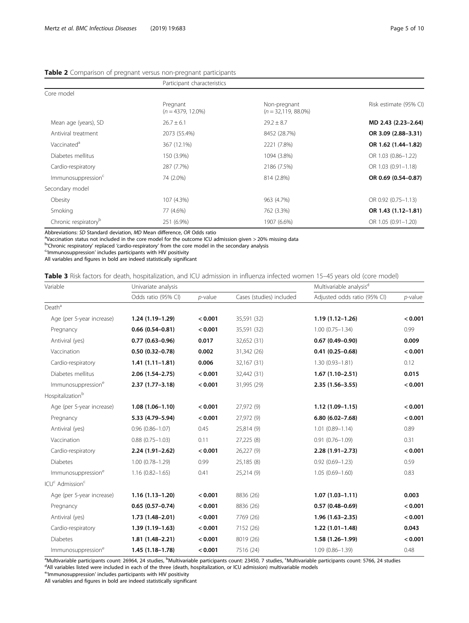<span id="page-4-0"></span>

|  | Table 2 Comparison of pregnant versus non-pregnant participants |  |
|--|-----------------------------------------------------------------|--|
|  |                                                                 |  |

|                                  | Participant characteristics      |                                        |                        |  |  |
|----------------------------------|----------------------------------|----------------------------------------|------------------------|--|--|
| Core model                       |                                  |                                        |                        |  |  |
|                                  | Pregnant<br>$(n = 4379, 12.0\%)$ | Non-pregnant<br>$(n = 32,119, 88.0\%)$ | Risk estimate (95% CI) |  |  |
| Mean age (years), SD             | $26.7 \pm 6.1$                   | $29.2 \pm 8.7$                         | MD 2.43 (2.23-2.64)    |  |  |
| Antiviral treatment              | 2073 (55.4%)                     | 8452 (28.7%)                           | OR 3.09 (2.88-3.31)    |  |  |
| Vaccinated <sup>a</sup>          | 367 (12.1%)                      | 2221 (7.8%)                            | OR 1.62 (1.44-1.82)    |  |  |
| Diabetes mellitus                | 150 (3.9%)                       | 1094 (3.8%)                            | OR 1.03 (0.86-1.22)    |  |  |
| Cardio-respiratory               | 287 (7.7%)                       | 2186 (7.5%)                            | OR 1.03 (0.91-1.18)    |  |  |
| Immunosuppression <sup>c</sup>   | 74 (2.0%)                        | 814 (2.8%)                             | OR 0.69 (0.54-0.87)    |  |  |
| Secondary model                  |                                  |                                        |                        |  |  |
| Obesity                          | 107 (4.3%)                       | 963 (4.7%)                             | OR 0.92 (0.75-1.13)    |  |  |
| Smoking                          | 77 (4.6%)                        | 762 (3.3%)                             | OR 1.43 (1.12-1.81)    |  |  |
| Chronic respiratory <sup>b</sup> | 251 (6.9%)                       | 1907 (6.6%)                            | OR 1.05 (0.91-1.20)    |  |  |

Abbreviations: SD Standard deviation, MD Mean difference, OR Odds ratio

<sup>a</sup>Vaccination status not included in the core model for the outcome ICU admission given > 20% missing data

b'Chronic respiratory' replaced 'cardio-respiratory' from the core model in the secondary analysis<br>Climmunosuppression' includes participants with HIV positivity

 $C$ Immunosuppression' includes participants with HIV positivity

All variables and figures in bold are indeed statistically significant

Table 3 Risk factors for death, hospitalization, and ICU admission in influenza infected women 15-45 years old (core model)

| Variable                                | Univariate analysis |            | Multivariable analysis <sup>d</sup> |                              |            |
|-----------------------------------------|---------------------|------------|-------------------------------------|------------------------------|------------|
|                                         | Odds ratio (95% CI) | $p$ -value | Cases (studies) included            | Adjusted odds ratio (95% CI) | $p$ -value |
| Death <sup>a</sup>                      |                     |            |                                     |                              |            |
| Age (per 5-year increase)               | $1.24(1.19-1.29)$   | < 0.001    | 35,591 (32)                         | $1.19(1.12 - 1.26)$          | < 0.001    |
| Pregnancy                               | $0.66(0.54 - 0.81)$ | < 0.001    | 35,591 (32)                         | $1.00(0.75 - 1.34)$          | 0.99       |
| Antiviral (yes)                         | $0.77(0.63 - 0.96)$ | 0.017      | 32,652 (31)                         | $0.67(0.49 - 0.90)$          | 0.009      |
| Vaccination                             | $0.50(0.32 - 0.78)$ | 0.002      | 31,342 (26)                         | $0.41(0.25 - 0.68)$          | < 0.001    |
| Cardio-respiratory                      | $1.41(1.11-1.81)$   | 0.006      | 32,167 (31)                         | $1.30(0.93 - 1.81)$          | 0.12       |
| Diabetes mellitus                       | $2.06(1.54 - 2.75)$ | < 0.001    | 32,442 (31)                         | $1.67(1.10-2.51)$            | 0.015      |
| Immunosuppression <sup>e</sup>          | $2.37(1.77 - 3.18)$ | < 0.001    | 31,995 (29)                         | 2.35 (1.56-3.55)             | < 0.001    |
| Hospitalization <sup>b</sup>            |                     |            |                                     |                              |            |
| Age (per 5-year increase)               | $1.08(1.06 - 1.10)$ | < 0.001    | 27,972 (9)                          | $1.12(1.09 - 1.15)$          | < 0.001    |
| Pregnancy                               | 5.33 (4.79-5.94)    | < 0.001    | 27,972 (9)                          | $6.80(6.02 - 7.68)$          | < 0.001    |
| Antiviral (yes)                         | $0.96(0.86 - 1.07)$ | 0.45       | 25,814 (9)                          | $1.01(0.89 - 1.14)$          | 0.89       |
| Vaccination                             | $0.88(0.75 - 1.03)$ | 0.11       | 27,225 (8)                          | $0.91(0.76 - 1.09)$          | 0.31       |
| Cardio-respiratory                      | $2.24(1.91 - 2.62)$ | < 0.001    | 26,227(9)                           | $2.28(1.91 - 2.73)$          | < 0.001    |
| <b>Diabetes</b>                         | $1.00(0.78 - 1.29)$ | 0.99       | 25,185(8)                           | $0.92(0.69 - 1.23)$          | 0.59       |
| Immunosuppression <sup>e</sup>          | $1.16(0.82 - 1.65)$ | 0.41       | 25,214 (9)                          | $1.05(0.69 - 1.60)$          | 0.83       |
| ICU <sup>c</sup> Admission <sup>c</sup> |                     |            |                                     |                              |            |
| Age (per 5-year increase)               | $1.16(1.13 - 1.20)$ | < 0.001    | 8836 (26)                           | $1.07(1.03 - 1.11)$          | 0.003      |
| Pregnancy                               | $0.65(0.57-0.74)$   | < 0.001    | 8836 (26)                           | $0.57(0.48 - 0.69)$          | < 0.001    |
| Antiviral (yes)                         | $1.73(1.48 - 2.01)$ | < 0.001    | 7769 (26)                           | $1.96(1.63 - 2.35)$          | < 0.001    |
| Cardio-respiratory                      | $1.39(1.19-1.63)$   | < 0.001    | 7152 (26)                           | $1.22(1.01-1.48)$            | 0.043      |
| <b>Diabetes</b>                         | $1.81(1.48-2.21)$   | < 0.001    | 8019 (26)                           | $1.58(1.26 - 1.99)$          | < 0.001    |
| Immunosuppression <sup>e</sup>          | $1.45(1.18-1.78)$   | < 0.001    | 7516 (24)                           | $1.09(0.86 - 1.39)$          | 0.48       |

<sup>a</sup>Multivariable participants count: 26964, 24 studies, <sup>b</sup>Multivariable participants count: 23450, 7 studies, <sup>c</sup>Multivariable participants count: 5766, 24 studies<br><sup>d'all</sup> variables listed vere included in each of the thr <sup>d</sup>All variables listed were included in each of the three (death, hospitalization, or ICU admission) multivariable models

e'Immunosuppression' includes participants with HIV positivity

All variables and figures in bold are indeed statistically significant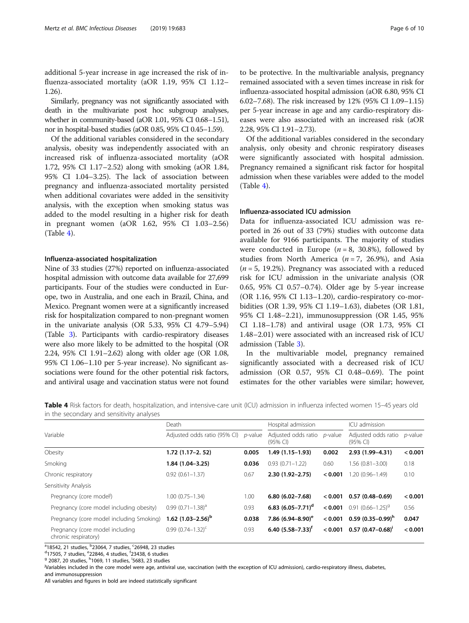<span id="page-5-0"></span>additional 5-year increase in age increased the risk of influenza-associated mortality (aOR 1.19, 95% CI 1.12– 1.26).

Similarly, pregnancy was not significantly associated with death in the multivariate post hoc subgroup analyses, whether in community-based (aOR 1.01, 95% CI 0.68–1.51), nor in hospital-based studies (aOR 0.85, 95% CI 0.45–1.59).

Of the additional variables considered in the secondary analysis, obesity was independently associated with an increased risk of influenza-associated mortality (aOR 1.72, 95% CI 1.17–2.52) along with smoking (aOR 1.84, 95% CI 1.04–3.25). The lack of association between pregnancy and influenza-associated mortality persisted when additional covariates were added in the sensitivity analysis, with the exception when smoking status was added to the model resulting in a higher risk for death in pregnant women (aOR 1.62, 95% CI 1.03–2.56)  $(Table 4)$ .

#### Influenza-associated hospitalization

Nine of 33 studies (27%) reported on influenza-associated hospital admission with outcome data available for 27,699 participants. Four of the studies were conducted in Europe, two in Australia, and one each in Brazil, China, and Mexico. Pregnant women were at a significantly increased risk for hospitalization compared to non-pregnant women in the univariate analysis (OR 5.33, 95% CI 4.79–5.94) (Table [3\)](#page-4-0). Participants with cardio-respiratory diseases were also more likely to be admitted to the hospital (OR 2.24, 95% CI 1.91–2.62) along with older age (OR 1.08, 95% CI 1.06–1.10 per 5-year increase). No significant associations were found for the other potential risk factors, and antiviral usage and vaccination status were not found

to be protective. In the multivariable analysis, pregnancy remained associated with a seven times increase in risk for influenza-associated hospital admission (aOR 6.80, 95% CI 6.02–7.68). The risk increased by 12% (95% CI 1.09–1.15) per 5-year increase in age and any cardio-respiratory diseases were also associated with an increased risk (aOR 2.28, 95% CI 1.91–2.73).

Of the additional variables considered in the secondary analysis, only obesity and chronic respiratory diseases were significantly associated with hospital admission. Pregnancy remained a significant risk factor for hospital admission when these variables were added to the model (Table 4).

#### Influenza-associated ICU admission

Data for influenza-associated ICU admission was reported in 26 out of 33 (79%) studies with outcome data available for 9166 participants. The majority of studies were conducted in Europe ( $n = 8$ , 30.8%), followed by studies from North America ( $n = 7$ , 26.9%), and Asia  $(n = 5, 19.2\%)$ . Pregnancy was associated with a reduced risk for ICU admission in the univariate analysis (OR 0.65, 95% CI 0.57–0.74). Older age by 5-year increase (OR 1.16, 95% CI 1.13–1.20), cardio-respiratory co-morbidities (OR 1.39, 95% CI 1.19–1.63), diabetes (OR 1.81, 95% CI 1.48–2.21), immunosuppression (OR 1.45, 95% CI 1.18–1.78) and antiviral usage (OR 1.73, 95% CI 1.48–2.01) were associated with an increased risk of ICU admission (Table [3\)](#page-4-0).

In the multivariable model, pregnancy remained significantly associated with a decreased risk of ICU admission (OR 0.57, 95% CI 0.48–0.69). The point estimates for the other variables were similar; however,

Table 4 Risk factors for death, hospitalization, and intensive-care unit (ICU) admission in influenza infected women 15–45 years old in the secondary and sensitivity analyses

|                                                         | Death                        |                 | Hospital admission              |                 | ICU admission                   |            |
|---------------------------------------------------------|------------------------------|-----------------|---------------------------------|-----------------|---------------------------------|------------|
| Variable                                                | Adjusted odds ratio (95% CI) | <i>p</i> -value | Adjusted odds ratio<br>(95% CI) | <i>p</i> -value | Adjusted odds ratio<br>(95% CI) | $p$ -value |
| Obesity                                                 | $1.72$ (1.17-2.52)           | 0.005           | $1.49(1.15-1.93)$               | 0.002           | 2.93 (1.99-4.31)                | < 0.001    |
| Smoking                                                 | $1.84(1.04 - 3.25)$          | 0.036           | $0.93(0.71 - 1.22)$             | 0.60            | $1.56(0.81 - 3.00)$             | 0.18       |
| Chronic respiratory                                     | $0.92(0.61 - 1.37)$          | 0.67            | $2.30(1.92 - 2.75)$             | < 0.001         | 1.20 (0.96-1.49)                | 0.10       |
| Sensitivity Analysis                                    |                              |                 |                                 |                 |                                 |            |
| Pregnancy (core model <sup>)</sup> )                    | $1.00(0.75 - 1.34)$          | 1.00            | $6.80(6.02 - 7.68)$             | < 0.001         | $0.57(0.48-0.69)$               | < 0.001    |
| Pregnancy (core model including obesity)                | $0.99(0.71 - 1.38)^{d}$      | 0.93            | 6.83 $(6.05 - 7.71)^d$          | < 0.001         | $0.91(0.66 - 1.25)^9$           | 0.56       |
| Pregnancy (core model including Smoking)                | 1.62 $(1.03 - 2.56)^b$       | 0.038           | 7.86 $(6.94 - 8.90)^e$          | < 0.001         | $0.59(0.35-0.99)^h$             | 0.047      |
| Pregnancy (core model including<br>chronic respiratory) | $0.99(0.74 - 1.32)^{c}$      | 0.93            | $6.40(5.58 - 7.33)^t$           | < 0.001         | $0.57$ $(0.47 - 0.68)^t$        | < 0.001    |

<sup>a</sup>18542, 21 studies, <sup>b</sup>23064, 7 studies, <sup>c</sup>26948, 23 studies<br><sup>d</sup>17505, 7 studies, <sup>e</sup>22846, 4 studies, <sup>f</sup>23438, 6 studies 17505, 7 studies, <sup>e</sup>22846, 4 studies, <sup>1</sup>

 $\frac{4}{3}$ 17505, 7 studies,  $\frac{6}{22846}$ , 4 studies, <sup>1</sup>23438, 6 studies<br><sup>9</sup> 2087, 20 studies, <sup>h</sup>1069, 11 studies, <sup>1</sup>5683, 23 studies<br>Wariables included in the sere model were ago, antivi

Variables included in the core model were age, antiviral use, vaccination (with the exception of ICU admission), cardio-respiratory illness, diabetes, and immunosuppression

All variables and figures in bold are indeed statistically significant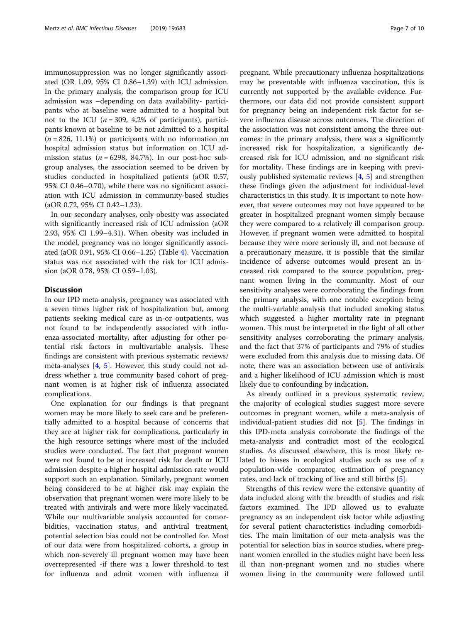immunosuppression was no longer significantly associated (OR 1.09, 95% CI 0.86–1.39) with ICU admission. In the primary analysis, the comparison group for ICU admission was –depending on data availability- participants who at baseline were admitted to a hospital but not to the ICU ( $n = 309, 4,2\%$  of participants), participants known at baseline to be not admitted to a hospital  $(n = 826, 11.1\%)$  or participants with no information on hospital admission status but information on ICU admission status ( $n = 6298$ , 84.7%). In our post-hoc subgroup analyses, the association seemed to be driven by studies conducted in hospitalized patients (aOR 0.57, 95% CI 0.46–0.70), while there was no significant association with ICU admission in community-based studies (aOR 0.72, 95% CI 0.42–1.23).

In our secondary analyses, only obesity was associated with significantly increased risk of ICU admission (aOR 2.93, 95% CI 1.99–4.31). When obesity was included in the model, pregnancy was no longer significantly associated (aOR 0.91, 95% CI 0.66–1.25) (Table [4](#page-5-0)). Vaccination status was not associated with the risk for ICU admission (aOR 0.78, 95% CI 0.59–1.03).

## **Discussion**

In our IPD meta-analysis, pregnancy was associated with a seven times higher risk of hospitalization but, among patients seeking medical care as in-or outpatients, was not found to be independently associated with influenza-associated mortality, after adjusting for other potential risk factors in multivariable analysis. These findings are consistent with previous systematic reviews/ meta-analyses [[4,](#page-8-0) [5\]](#page-8-0). However, this study could not address whether a true community based cohort of pregnant women is at higher risk of influenza associated complications.

One explanation for our findings is that pregnant women may be more likely to seek care and be preferentially admitted to a hospital because of concerns that they are at higher risk for complications, particularly in the high resource settings where most of the included studies were conducted. The fact that pregnant women were not found to be at increased risk for death or ICU admission despite a higher hospital admission rate would support such an explanation. Similarly, pregnant women being considered to be at higher risk may explain the observation that pregnant women were more likely to be treated with antivirals and were more likely vaccinated. While our multivariable analysis accounted for comorbidities, vaccination status, and antiviral treatment, potential selection bias could not be controlled for. Most of our data were from hospitalized cohorts, a group in which non-severely ill pregnant women may have been overrepresented -if there was a lower threshold to test for influenza and admit women with influenza if

pregnant. While precautionary influenza hospitalizations may be preventable with influenza vaccination, this is currently not supported by the available evidence. Furthermore, our data did not provide consistent support for pregnancy being an independent risk factor for severe influenza disease across outcomes. The direction of the association was not consistent among the three outcomes: in the primary analysis, there was a significantly increased risk for hospitalization, a significantly decreased risk for ICU admission, and no significant risk for mortality. These findings are in keeping with previously published systematic reviews [[4,](#page-8-0) [5](#page-8-0)] and strengthen these findings given the adjustment for individual-level characteristics in this study. It is important to note however, that severe outcomes may not have appeared to be greater in hospitalized pregnant women simply because they were compared to a relatively ill comparison group. However, if pregnant women were admitted to hospital because they were more seriously ill, and not because of a precautionary measure, it is possible that the similar incidence of adverse outcomes would present an increased risk compared to the source population, pregnant women living in the community. Most of our sensitivity analyses were corroborating the findings from the primary analysis, with one notable exception being the multi-variable analysis that included smoking status which suggested a higher mortality rate in pregnant women. This must be interpreted in the light of all other sensitivity analyses corroborating the primary analysis, and the fact that 37% of participants and 79% of studies were excluded from this analysis due to missing data. Of note, there was an association between use of antivirals and a higher likelihood of ICU admission which is most likely due to confounding by indication.

As already outlined in a previous systematic review, the majority of ecological studies suggest more severe outcomes in pregnant women, while a meta-analysis of individual-patient studies did not [\[5\]](#page-8-0). The findings in this IPD-meta analysis corroborate the findings of the meta-analysis and contradict most of the ecological studies. As discussed elsewhere, this is most likely related to biases in ecological studies such as use of a population-wide comparator, estimation of pregnancy rates, and lack of tracking of live and still births [[5\]](#page-8-0).

Strengths of this review were the extensive quantity of data included along with the breadth of studies and risk factors examined. The IPD allowed us to evaluate pregnancy as an independent risk factor while adjusting for several patient characteristics including comorbidities. The main limitation of our meta-analysis was the potential for selection bias in source studies, where pregnant women enrolled in the studies might have been less ill than non-pregnant women and no studies where women living in the community were followed until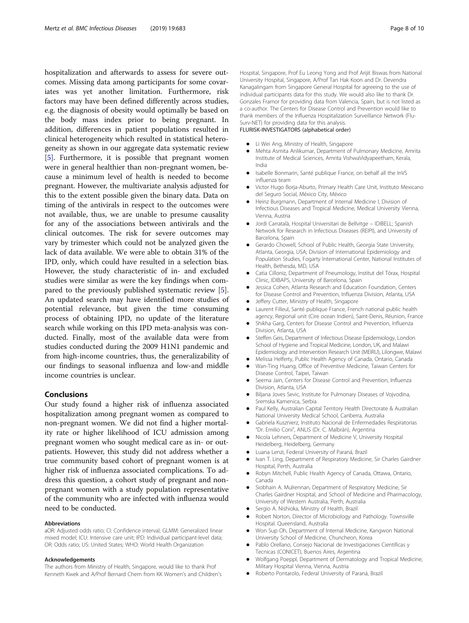hospitalization and afterwards to assess for severe outcomes. Missing data among participants for some covariates was yet another limitation. Furthermore, risk factors may have been defined differently across studies, e.g. the diagnosis of obesity would optimally be based on the body mass index prior to being pregnant. In addition, differences in patient populations resulted in clinical heterogeneity which resulted in statistical heterogeneity as shown in our aggregate data systematic review [[5\]](#page-8-0). Furthermore, it is possible that pregnant women were in general healthier than non-pregnant women, because a minimum level of health is needed to become pregnant. However, the multivariate analysis adjusted for this to the extent possible given the binary data. Data on timing of the antivirals in respect to the outcomes were not available, thus, we are unable to presume causality for any of the associations between antivirals and the clinical outcomes. The risk for severe outcomes may vary by trimester which could not be analyzed given the lack of data available. We were able to obtain 31% of the IPD, only, which could have resulted in a selection bias. However, the study characteristic of in- and excluded studies were similar as were the key findings when compared to the previously published systematic review [\[5](#page-8-0)]. An updated search may have identified more studies of potential relevance, but given the time consuming process of obtaining IPD, no update of the literature search while working on this IPD meta-analysis was conducted. Finally, most of the available data were from studies conducted during the 2009 H1N1 pandemic and from high-income countries, thus, the generalizability of our findings to seasonal influenza and low-and middle income countries is unclear.

## Conclusions

Our study found a higher risk of influenza associated hospitalization among pregnant women as compared to non-pregnant women. We did not find a higher mortality rate or higher likelihood of ICU admission among pregnant women who sought medical care as in- or outpatients. However, this study did not address whether a true community based cohort of pregnant women is at higher risk of influenza associated complications. To address this question, a cohort study of pregnant and nonpregnant women with a study population representative of the community who are infected with influenza would need to be conducted.

#### Abbreviations

aOR: Adjusted odds ratio; CI: Confidence interval; GLMM: Generalized linear mixed model; ICU: Intensive care unit; IPD: Individual participant-level data; OR: Odds ratio; US: United States; WHO: World Health Organization

#### Acknowledgements

The authors from Ministry of Health, Singapore, would like to thank Prof Kenneth Kwek and A/Prof Bernard Chern from KK Women's and Children's Hospital, Singapore, Prof Eu Leong Yong and Prof Arijit Biswas from National University Hospital, Singapore, A/Prof Tan Hak Koon and Dr. Devendra Kanagalingam from Singapore General Hospital for agreeing to the use of individual participants data for this study. We would also like to thank Dr. Gonzales Framor for providing data from Valencia, Spain, but is not listed as a co-author. The Centers for Disease Control and Prevention would like to thank members of the Influenza Hospitalization Surveillance Network (Flu-Surv-NET) for providing data for this analysis. FLURISK-INVESTIGATORS (alphabetical order)

- Li Wei Ang, Ministry of Health, Singapore
- Mehta Asmita Anlikumar, Department of Pulmonary Medicine, Amrita Institute of Medical Sciences, Amrita VishwaVidyapeetham, Kerala, India
- Isabelle Bonmarin, Santé publique France, on behalf all the InVS influenza team
- Victor Hugo Borja-Aburto, Primary Health Care Unit, Instituto Mexicano del Seguro Social, México City, México
- Heinz Burgmann, Department of Internal Medicine I, Division of Infectious Diseases and Tropical Medicine, Medical University Vienna, Vienna, Austria
- Jordi Carratalà, Hospital Universitari de Bellvitge IDIBELL; Spanish Network for Research in Infectious Diseases (REIPI), and University of Barcelona, Spain
- Gerardo Chowell, School of Public Health, Georgia State University, Atlanta, Georgia, USA; Division of International Epidemiology and Population Studies, Fogarty International Center, National Institutes of Health, Bethesda, MD, USA
- Catia Cilloniz, Department of Pneumology, Institut del Tórax, Hospital Clinic, IDIBAPS, University of Barcelona, Spain
- Jessica Cohen, Atlanta Research and Education Foundation, Centers for Disease Control and Prevention, Influenza Division, Atlanta, USA
- **•** Jeffery Cutter, Ministry of Health, Singapore
- Laurent Filleul, Santé publique France, French national public health agency, Regional unit (Cire ocean Indien), Saint-Denis, Réunion, France
- Shikha Garg, Centers for Disease Control and Prevention, Influenza Division, Atlanta, USA
- Steffen Geis, Department of Infectious Disease Epidemiology, London School of Hygiene and Tropical Medicine, London, UK, and Malawi Epidemiology and Intervention Research Unit (MEIRU), Lilongwe, Malawi
- Melissa Helferty, Public Health Agency of Canada, Ontario, Canada Wan-Ting Huang, Office of Preventive Medicine, Taiwan Centers for
- Disease Control, Taipei, Taiwan
- Seema Jain, Centers for Disease Control and Prevention, Influenza Division, Atlanta, USA
- Biljana Joves Sevic, Institute for Pulmonary Diseases of Vojvodina, Sremska Kamenica, Serbia
- Paul Kelly, Australian Capital Territory Health Directorate & Australian National University Medical School, Canberra, Australia
- Gabriela Kusznierz, Instituto Nacional de Enfermedades Respiratorias "Dr. Emilio Coni", ANLIS (Dr. C. Malbrán), Argentina
- Nicola Lehners, Department of Medicine V, University Hospital Heidelberg, Heidelberg, Germany
- Luana Lenzi, Federal University of Paraná, Brazil
- Ivan T. Ling, Department of Respiratory Medicine, Sir Charles Gairdner Hospital, Perth, Australia
- Robyn Mitchell, Public Health Agency of Canada, Ottawa, Ontario, Canada
- Siobhain A. Mulrennan, Department of Respiratory Medicine, Sir Charles Gairdner Hospital, and School of Medicine and Pharmacology, University of Western Australia, Perth, Australia
- Sergio A. Nishioka, Ministry of Health, Brazil
- Robert Norton, Director of Microbiology and Pathology. Townsville Hospital. Queensland, Australia
- Won Sup Oh, Department of Internal Medicine, Kangwon National University School of Medicine, Chuncheon, Korea
- Pablo Orellano, Consejo Nacional de Investigaciones Cientificas y Tecnicas (CONICET), Buenos Aires, Argentina
- Wolfgang Poeppl, Department of Dermatology and Tropical Medicine, Military Hospital Vienna, Vienna, Austria
- Roberto Pontarolo, Federal University of Paraná, Brazil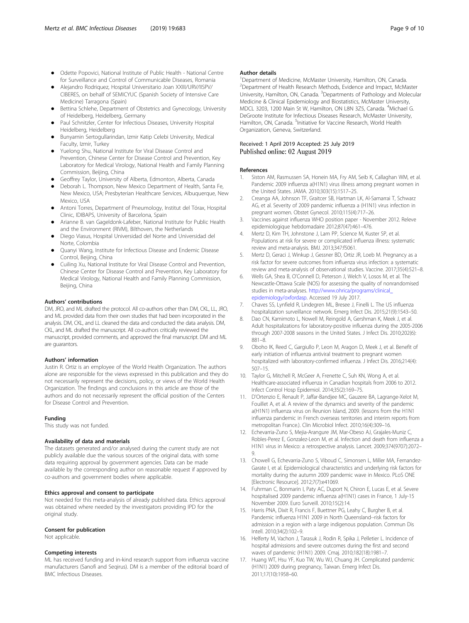- <span id="page-8-0"></span> Alejandro Rodriquez, Hospital Universitario Joan XXIII/URV/IISPV/ CIBERES, on behalf of SEMICYUC (Spanish Society of Intensive Care Medicine) Tarragona (Spain)
- Bettina Schlehe, Department of Obstetrics and Gynecology, University of Heidelberg, Heidelberg, Germany
- Paul Schnitzler, Center for Infectious Diseases, University Hospital Heidelberg, Heidelberg
- Bunyamin Sertogullarindan, Izmir Katip Celebi University, Medical Faculty, Izmir, Turkey
- Yuelong Shu, National Institute for Viral Disease Control and Prevention, Chinese Center for Disease Control and Prevention, Key Laboratory for Medical Virology, National Health and Family Planning Commission, Beijing, China
- Geoffrey Taylor, University of Alberta, Edmonton, Alberta, Canada
- Deborah L. Thompson, New Mexico Department of Health, Santa Fe, New Mexico, USA; Presbyterian Healthcare Services, Albuquerque, New Mexico, USA
- Antoni Torres, Department of Pneumology, Institut del Tórax, Hospital Clinic, IDIBAPS, University of Barcelona, Spain
- Arianne B. van Gageldonk-Lafeber, National Institute for Public Health and the Environment (RIVM), Bilthoven, the Netherlands
- Diego Viasus, Hospital Universidad del Norte and Universidad del Norte, Colombia
- Quanyi Wang, Institute for Infectious Disease and Endemic Disease Control, Beijing, China
- Cuiling Xu, National Institute for Viral Disease Control and Prevention, Chinese Center for Disease Control and Prevention, Key Laboratory for Medical Virology, National Health and Family Planning Commission, Beijing, China

#### Authors' contributions

DM, JRO, and ML drafted the protocol. All co-authors other than DM, CKL, LL, JRO, and ML provided data from their own studies that had been incorporated in the analysis. DM, CKL, and LL cleaned the data and conducted the data analysis. DM, CKL, and ML drafted the manuscript. All co-authors critically reviewed the manuscript, provided comments, and approved the final manuscript. DM and ML are guarantors.

#### Authors' information

Justin R. Ortiz is an employee of the World Health Organization. The authors alone are responsible for the views expressed in this publication and they do not necessarily represent the decisions, policy, or views of the World Health Organization. The findings and conclusions in this article are those of the authors and do not necessarily represent the official position of the Centers for Disease Control and Prevention.

#### Funding

This study was not funded.

#### Availability of data and materials

The datasets generated and/or analysed during the current study are not publicly available due the various sources of the original data, with some data requiring approval by government agencies. Data can be made available by the corresponding author on reasonable request if approved by co-authors and government bodies where applicable.

#### Ethics approval and consent to participate

Not needed for this meta-analysis of already published data. Ethics approval was obtained where needed by the investigators providing IPD for the original study.

#### Consent for publication

Not applicable.

#### Competing interests

ML has received funding and in-kind research support from influenza vaccine manufacturers (Sanofi and Seqirus). DM is a member of the editorial board of BMC Infectious Diseases.

#### Author details

<sup>1</sup> Department of Medicine, McMaster University, Hamilton, ON, Canada. <sup>2</sup>Department of Health Research Methods, Evidence and Impact, McMaster University, Hamilton, ON, Canada. <sup>3</sup>Departments of Pathology and Molecular Medicine & Clinical Epidemiology and Biostatistics, McMaster University, MDCL 3203, 1200 Main St W, Hamilton, ON L8N 3Z5, Canada. <sup>4</sup>Michael G DeGroote Institute for Infectious Diseases Research, McMaster University, Hamilton, ON, Canada. <sup>5</sup>Initiative for Vaccine Research, World Health Organization, Geneva, Switzerland.

#### Received: 1 April 2019 Accepted: 25 July 2019 Published online: 02 August 2019

#### References

- 1. Siston AM, Rasmussen SA, Honein MA, Fry AM, Seib K, Callaghan WM, et al. Pandemic 2009 influenza a(H1N1) virus illness among pregnant women in the United States. JAMA. 2010;303(15):1517–25.
- 2. Creanga AA, Johnson TF, Graitcer SB, Hartman LK, Al-Samarrai T, Schwarz AG, et al. Severity of 2009 pandemic influenza a (H1N1) virus infection in pregnant women. Obstet Gynecol. 2010;115(4):717–26.
- Vaccines against influenza WHO position paper November 2012. Releve epidemiologique hebdomadaire 2012;87(47):461–476.
- 4. Mertz D, Kim TH, Johnstone J, Lam PP, Science M, Kuster SP, et al. Populations at risk for severe or complicated influenza illness: systematic review and meta-analysis. BMJ. 2013;347:f5061.
- 5. Mertz D, Geraci J, Winkup J, Gessner BD, Ortiz JR, Loeb M. Pregnancy as a risk factor for severe outcomes from influenza virus infection: a systematic review and meta-analysis of observational studies. Vaccine. 2017;35(4):521–8.
- 6. Wells GA, Shea B, O'Connell D, Peterson J, Welch V, Losos M, et al. The Newcastle-Ottawa Scale (NOS) for assessing the quality of nonrandomised studies in meta-analyses. [http://www.ohrica/programs/clinical\\_](http://www.ohrica/programs/clinical_epidemiology/oxfordasp) [epidemiology/oxfordasp.](http://www.ohrica/programs/clinical_epidemiology/oxfordasp) Accessed 19 July 2017.
- 7. Chaves SS, Lynfield R, Lindegren ML, Bresee J, Finelli L. The US influenza hospitalization surveillance network. Emerg Infect Dis. 2015;21(9):1543–50.
- Dao CN, Kamimoto L, Nowell M, Reingold A, Gershman K, Meek J, et al. Adult hospitalizations for laboratory-positive influenza during the 2005-2006 through 2007-2008 seasons in the United States. J Infect Dis. 2010;202(6): 881–8.
- 9. Oboho IK, Reed C, Gargiullo P, Leon M, Aragon D, Meek J, et al. Benefit of early initiation of influenza antiviral treatment to pregnant women hospitalized with laboratory-confirmed influenza. J Infect Dis. 2016;214(4): 507–15.
- 10. Taylor G, Mitchell R, McGeer A, Frenette C, Suh KN, Wong A, et al. Healthcare-associated influenza in Canadian hospitals from 2006 to 2012. Infect Control Hosp Epidemiol. 2014;35(2):169–75.
- 11. D'Ortenzio E, Renault P, Jaffar-Bandjee MC, Gauzere BA, Lagrange-Xelot M, Fouillet A, et al. A review of the dynamics and severity of the pandemic a(H1N1) influenza virus on Reunion Island, 2009. (lessons from the H1N1 influenza pandemic in French overseas territories and interim reports from metropolitan France.). Clin Microbiol Infect. 2010;16(4):309–16.
- 12. Echevarria-Zuno S, Mejia-Arangure JM, Mar-Obeso AJ, Grajales-Muniz C, Robles-Perez E, Gonzalez-Leon M, et al. Infection and death from influenza a H1N1 virus in Mexico: a retrospective analysis. Lancet. 2009;374(9707):2072– 9.
- 13. Chowell G, Echevarria-Zuno S, Viboud C, Simonsen L, Miller MA, Fernandez-Garate I, et al. Epidemiological characteristics and underlying risk factors for mortality during the autumn 2009 pandemic wave in Mexico. PLoS ONE [Electronic Resource]. 2012;7(7):e41069.
- 14. Fuhrman C, Bonmarin I, Paty AC, Duport N, Chiron E, Lucas E, et al. Severe hospitalised 2009 pandemic influenza a(H1N1) cases in France, 1 July-15 November 2009. Euro Surveill. 2010;15(2):14.
- 15. Harris PNA, Dixit R, Francis F, Buettner PG, Leahy C, Burgher B, et al. Pandemic influenza H1N1 2009 in North Queensland--risk factors for admission in a region with a large indigenous population. Commun Dis Intell. 2010;34(2):102–9.
- 16. Helferty M, Vachon J, Tarasuk J, Rodin R, Spika J, Pelletier L. Incidence of hospital admissions and severe outcomes during the first and second waves of pandemic (H1N1) 2009. Cmaj. 2010;182(18):1981–7.
- 17. Huang WT, Hsu YF, Kuo TW, Wu WJ, Chuang JH. Complicated pandemic (H1N1) 2009 during pregnancy, Taiwan. Emerg Infect Dis. 2011;17(10):1958–60.